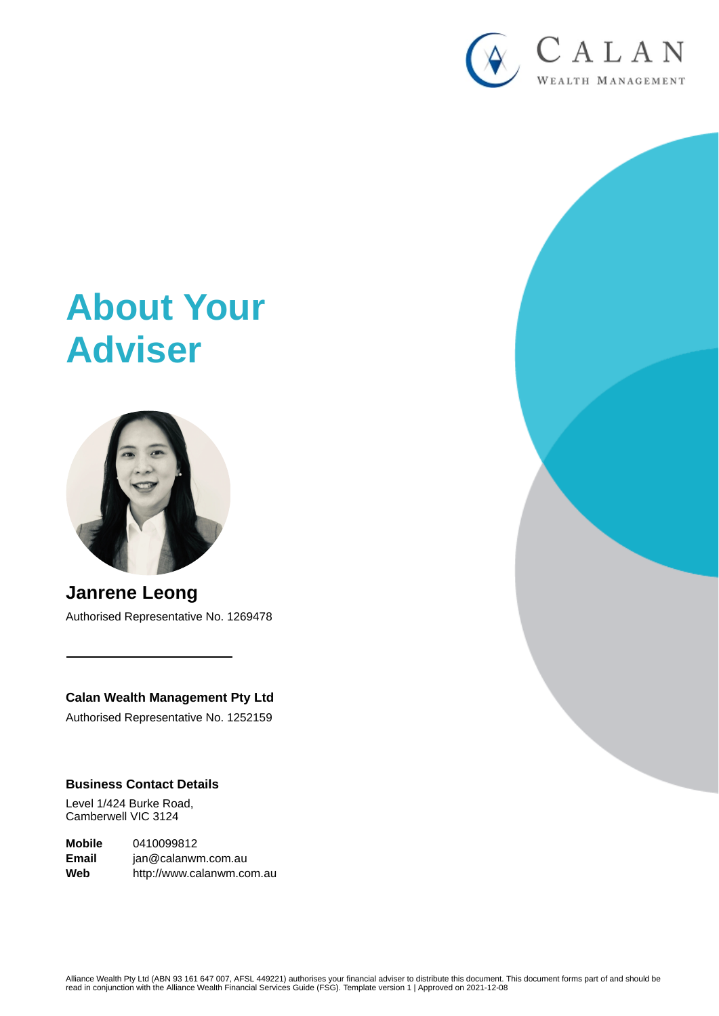

# **About Your Adviser**



**Janrene Leong** Authorised Representative No. 1269478

# **Calan Wealth Management Pty Ltd**

Authorised Representative No. 1252159

## **Business Contact Details**

Level 1/424 Burke Road, Camberwell VIC 3124

**Mobile** 0410099812 **Email** jan@calanwm.com.au **Web** http://www.calanwm.com.au